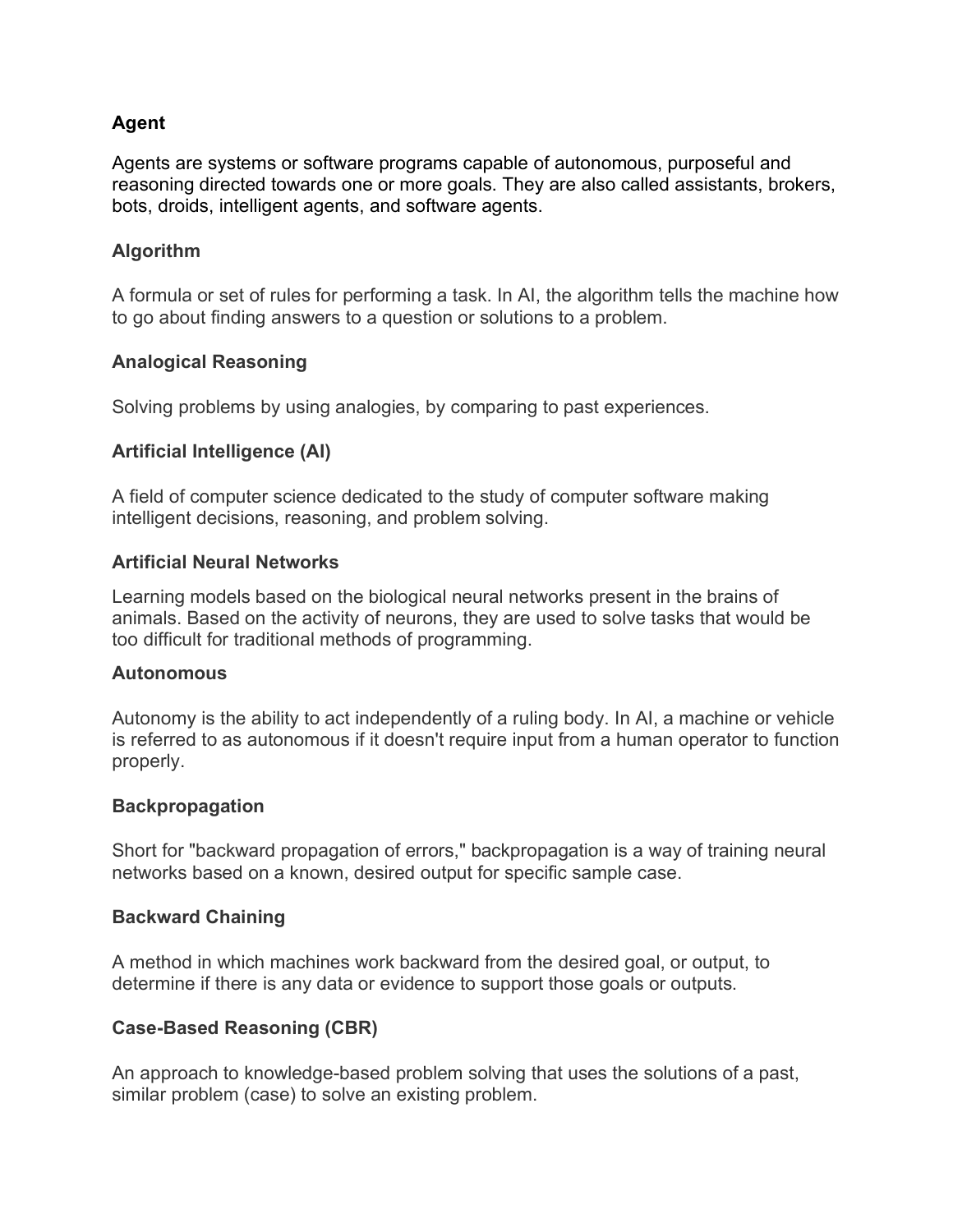## **Agent**

Agents are systems or software programs capable of autonomous, purposeful and reasoning directed towards one or more goals. They are also called assistants, brokers, bots, droids, intelligent agents, and software agents.

## **Algorithm**

A formula or set of rules for performing a task. In AI, the algorithm tells the machine how to go about finding answers to a question or solutions to a problem.

## **Analogical Reasoning**

Solving problems by using analogies, by comparing to past experiences.

## **Artificial Intelligence (AI)**

A field of computer science dedicated to the study of computer software making intelligent decisions, reasoning, and problem solving.

## **Artificial Neural Networks**

Learning models based on the biological neural networks present in the brains of animals. Based on the activity of neurons, they are used to solve tasks that would be too difficult for traditional methods of programming.

#### **Autonomous**

Autonomy is the ability to act independently of a ruling body. In AI, a machine or vehicle is referred to as autonomous if it doesn't require input from a human operator to function properly.

## **Backpropagation**

Short for "backward propagation of errors," backpropagation is a way of training neural networks based on a known, desired output for specific sample case.

## **Backward Chaining**

A method in which machines work backward from the desired goal, or output, to determine if there is any data or evidence to support those goals or outputs.

## **Case-Based Reasoning (CBR)**

An approach to knowledge-based problem solving that uses the solutions of a past, similar problem (case) to solve an existing problem.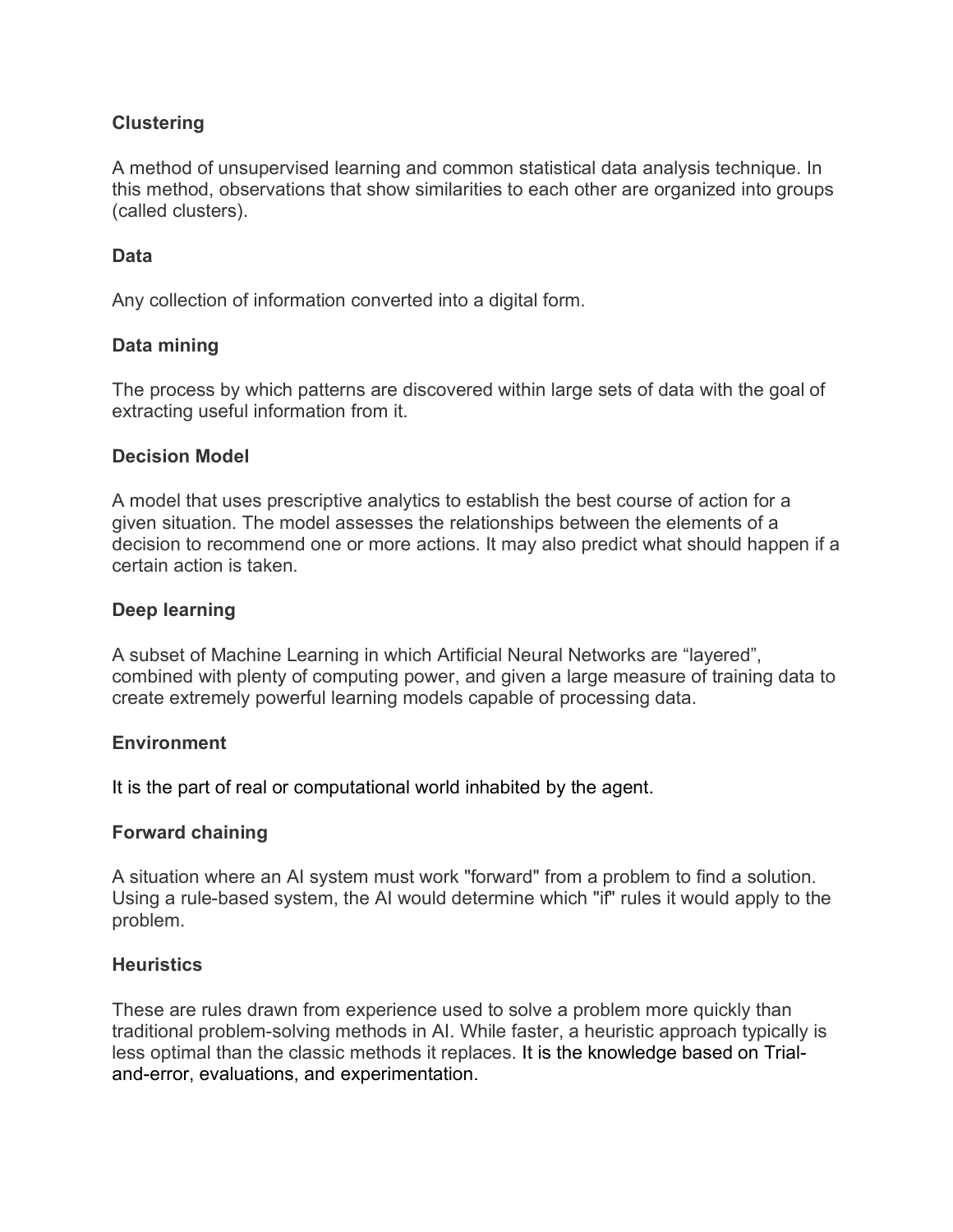# **Clustering**

A method of unsupervised learning and common statistical data analysis technique. In this method, observations that show similarities to each other are organized into groups (called clusters).

## **Data**

Any collection of information converted into a digital form.

## **Data mining**

The process by which patterns are discovered within large sets of data with the goal of extracting useful information from it.

#### **Decision Model**

A model that uses prescriptive analytics to establish the best course of action for a given situation. The model assesses the relationships between the elements of a decision to recommend one or more actions. It may also predict what should happen if a certain action is taken.

#### **Deep learning**

A subset of Machine Learning in which Artificial Neural Networks are "layered", combined with plenty of computing power, and given a large measure of training data to create extremely powerful learning models capable of processing data.

## **Environment**

It is the part of real or computational world inhabited by the agent.

#### **Forward chaining**

A situation where an AI system must work "forward" from a problem to find a solution. Using a rule-based system, the AI would determine which "if" rules it would apply to the problem.

#### **Heuristics**

These are rules drawn from experience used to solve a problem more quickly than traditional problem-solving methods in AI. While faster, a heuristic approach typically is less optimal than the classic methods it replaces. It is the knowledge based on Trialand-error, evaluations, and experimentation.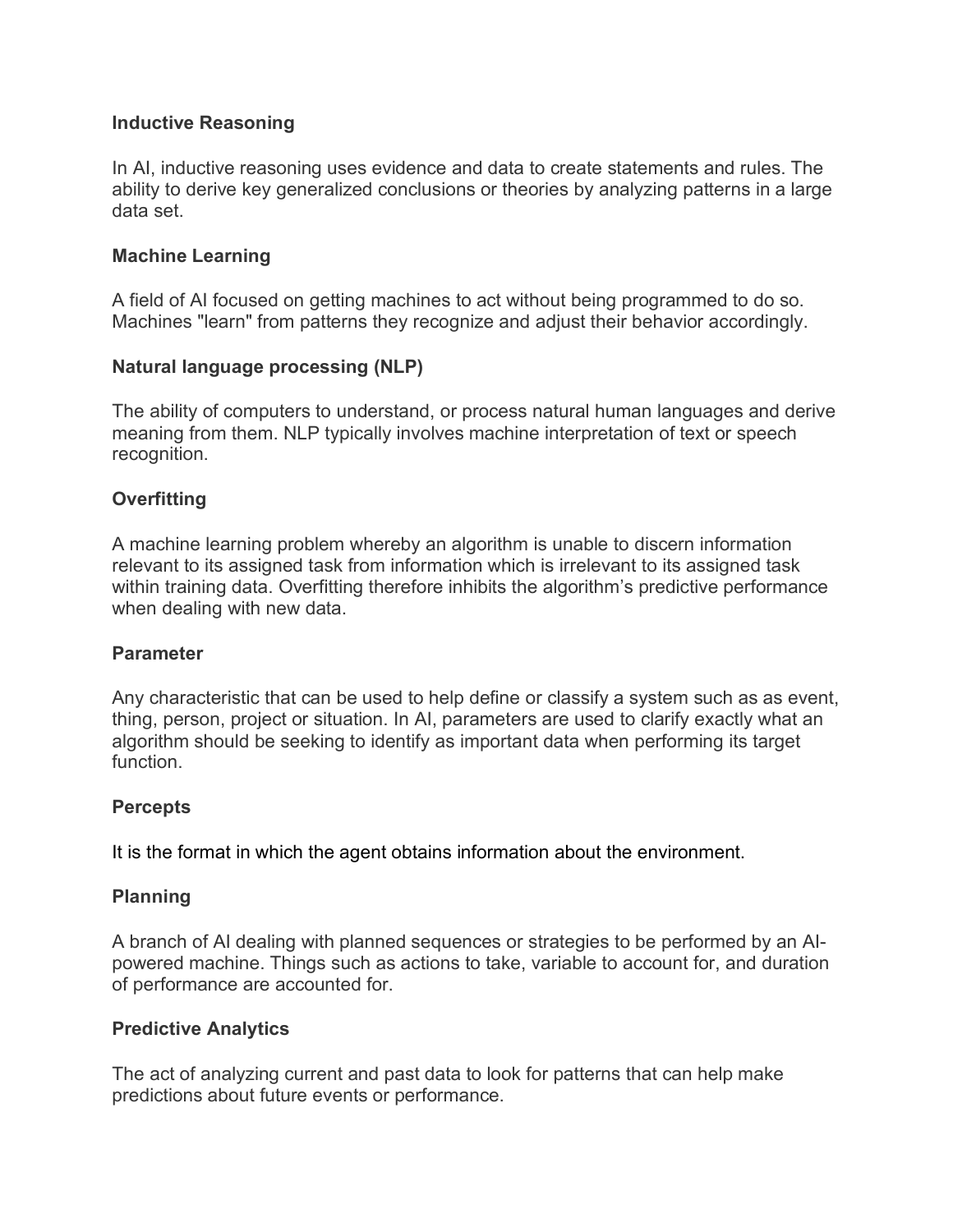## **Inductive Reasoning**

In AI, inductive reasoning uses evidence and data to create statements and rules. The ability to derive key generalized conclusions or theories by analyzing patterns in a large data set.

# **Machine Learning**

A field of AI focused on getting machines to act without being programmed to do so. Machines "learn" from patterns they recognize and adjust their behavior accordingly.

## **Natural language processing (NLP)**

The ability of computers to understand, or process natural human languages and derive meaning from them. NLP typically involves machine interpretation of text or speech recognition.

# **Overfitting**

A machine learning problem whereby an algorithm is unable to discern information relevant to its assigned task from information which is irrelevant to its assigned task within training data. Overfitting therefore inhibits the algorithm's predictive performance when dealing with new data.

## **Parameter**

Any characteristic that can be used to help define or classify a system such as as event, thing, person, project or situation. In AI, parameters are used to clarify exactly what an algorithm should be seeking to identify as important data when performing its target function.

## **Percepts**

It is the format in which the agent obtains information about the environment.

# **Planning**

A branch of AI dealing with planned sequences or strategies to be performed by an AIpowered machine. Things such as actions to take, variable to account for, and duration of performance are accounted for.

## **Predictive Analytics**

The act of analyzing current and past data to look for patterns that can help make predictions about future events or performance.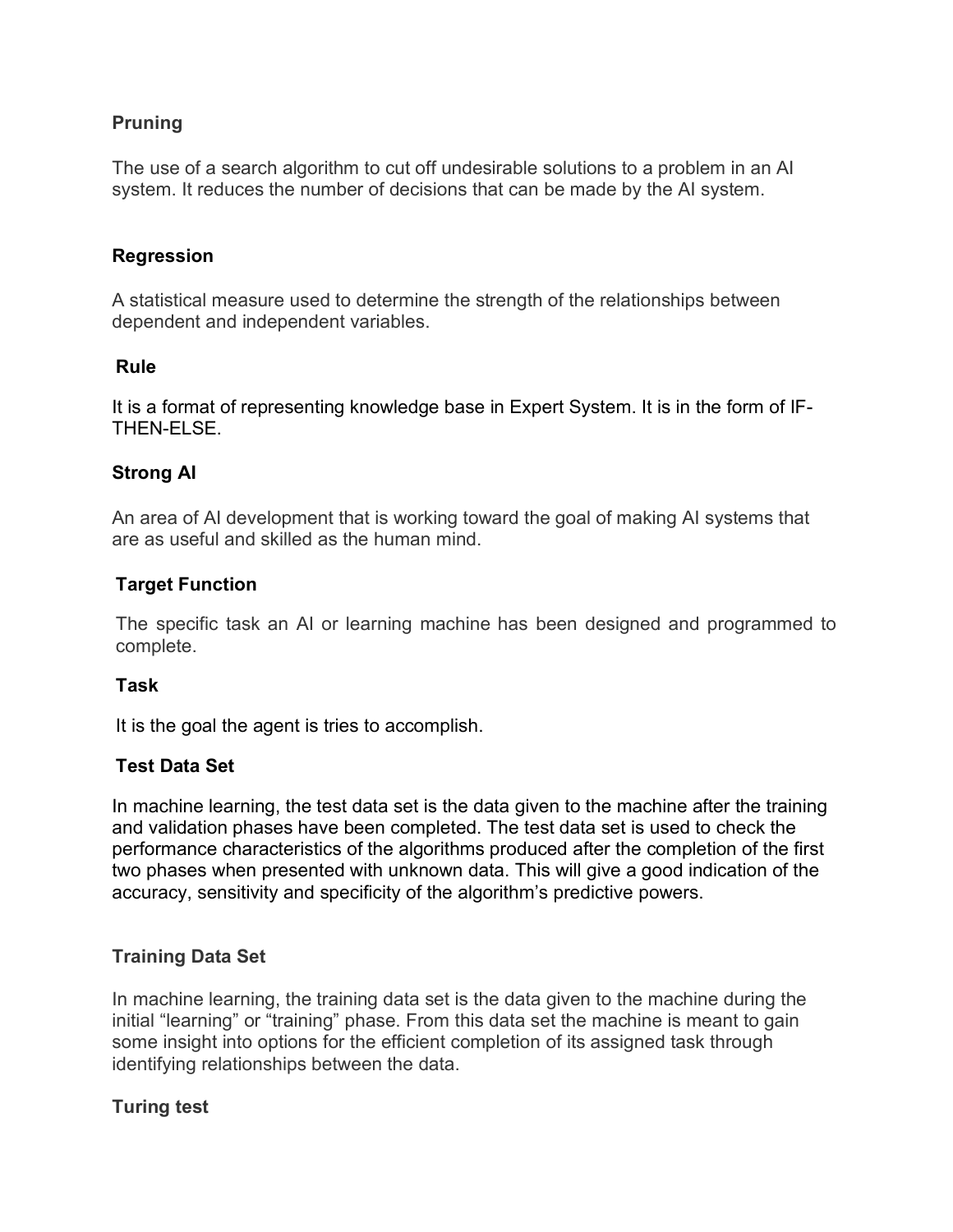# **Pruning**

The use of a search algorithm to cut off undesirable solutions to a problem in an AI system. It reduces the number of decisions that can be made by the AI system.

## **Regression**

A statistical measure used to determine the strength of the relationships between dependent and independent variables.

## **Rule**

It is a format of representing knowledge base in Expert System. It is in the form of IF-THEN-ELSE.

## **Strong AI**

An area of AI development that is working toward the goal of making AI systems that are as useful and skilled as the human mind.

## **Target Function**

The specific task an AI or learning machine has been designed and programmed to complete.

## **Task**

It is the goal the agent is tries to accomplish.

## **Test Data Set**

In machine learning, the test data set is the data given to the machine after the training and validation phases have been completed. The test data set is used to check the performance characteristics of the algorithms produced after the completion of the first two phases when presented with unknown data. This will give a good indication of the accuracy, sensitivity and specificity of the algorithm's predictive powers.

## **Training Data Set**

In machine learning, the training data set is the data given to the machine during the initial "learning" or "training" phase. From this data set the machine is meant to gain some insight into options for the efficient completion of its assigned task through identifying relationships between the data.

## **Turing test**